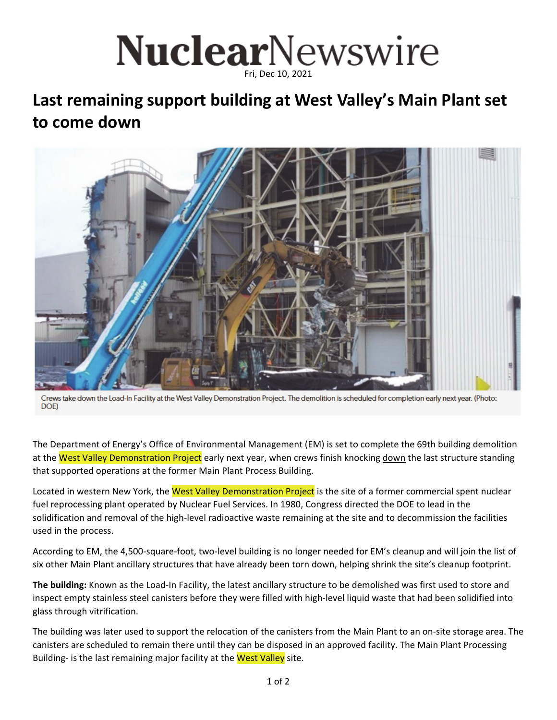## NuclearNewswire Fri, Dec 10, 2021

## **Last remaining support building at West Valley's Main Plant set to come down**



Crews take down the Load-In Facility at the West Valley Demonstration Project. The demolition is scheduled for completion early next year. (Photo: DOE)

The Department of Energy's Office of Environmental Management (EM) is set to complete the 69th building demolition at the West Valley Demonstration Project early next year, when crews finish knocking down the last structure standing that supported operations at the former Main Plant Process Building.

Located in western New York, the West Valley Demonstration Project is the site of a former commercial spent nuclear fuel reprocessing plant operated by Nuclear Fuel Services. In 1980, Congress directed the DOE to lead in the solidification and removal of the high-level radioactive waste remaining at the site and to decommission the facilities used in the process.

According to EM, the 4,500‐square‐foot, two‐level building is no longer needed for EM's cleanup and will join the list of six other Main Plant ancillary structures that have already been torn down, helping shrink the site's cleanup footprint.

**The building:** Known as the Load‐In Facility, the latest ancillary structure to be demolished was first used to store and inspect empty stainless steel canisters before they were filled with high-level liquid waste that had been solidified into glass through vitrification.

The building was later used to support the relocation of the canisters from the Main Plant to an on‐site storage area. The canisters are scheduled to remain there until they can be disposed in an approved facility. The Main Plant Processing Building- is the last remaining major facility at the West Valley site.